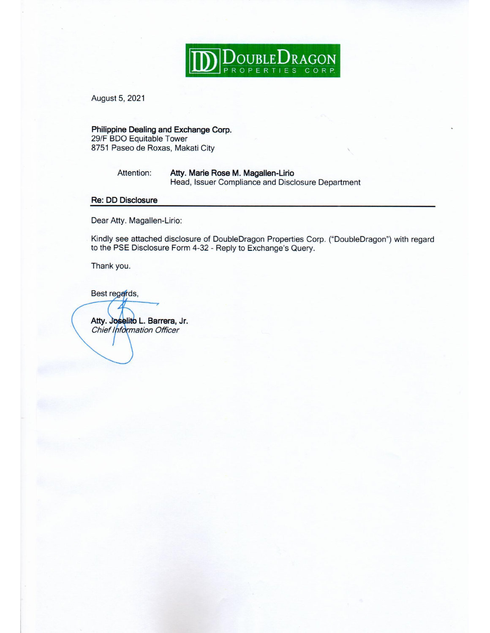

August 5, 2021

Philippine Dealing and Exchange Corp. 29/F BDO Equitable Tower 8751 Paseo de Roxas, Makati City

> Attention: Atty. Marie Rose M. Magallen-Lirio Head, Issuer Compliance and Disclosure Department

#### **Re: DD Disclosure**

Dear Atty. Magallen-Lirio:

Kindly see attached disclosure of DoubleDragon Properties Corp. ("DoubleDragon") with regard to the PSE Disclosure Form 4-32 - Reply to Exchange's Query.

Thank you.

Best regards,

Atty. Joselito L. Barrera, Jr. Chief Information Officer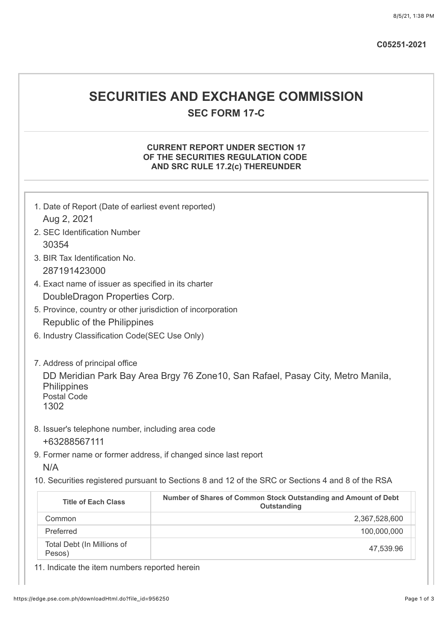## **SECURITIES AND EXCHANGE COMMISSION SEC FORM 17-C**

#### **CURRENT REPORT UNDER SECTION 17 OF THE SECURITIES REGULATION CODE AND SRC RULE 17.2(c) THEREUNDER**

| 1. Date of Report (Date of earliest event reported)                   |                                                                                                   |
|-----------------------------------------------------------------------|---------------------------------------------------------------------------------------------------|
| Aug 2, 2021                                                           |                                                                                                   |
| 2. SEC Identification Number                                          |                                                                                                   |
| 30354                                                                 |                                                                                                   |
| 3. BIR Tax Identification No.                                         |                                                                                                   |
| 287191423000                                                          |                                                                                                   |
| 4. Exact name of issuer as specified in its charter                   |                                                                                                   |
| DoubleDragon Properties Corp.                                         |                                                                                                   |
| 5. Province, country or other jurisdiction of incorporation           |                                                                                                   |
| Republic of the Philippines                                           |                                                                                                   |
| 6. Industry Classification Code(SEC Use Only)                         |                                                                                                   |
| Philippines<br><b>Postal Code</b><br>1302                             |                                                                                                   |
| 8. Issuer's telephone number, including area code<br>+63288567111     |                                                                                                   |
| 9. Former name or former address, if changed since last report<br>N/A |                                                                                                   |
|                                                                       | 10. Securities registered pursuant to Sections 8 and 12 of the SRC or Sections 4 and 8 of the RSA |
| <b>Title of Each Class</b>                                            | Number of Shares of Common Stock Outstanding and Amount of Debt<br>Outstanding                    |
| Common                                                                | 2,367,528,600                                                                                     |
| Preferred                                                             | 100,000,000                                                                                       |
| Total Debt (In Millions of<br>Pesos)                                  | 47,539.96                                                                                         |

11. Indicate the item numbers reported herein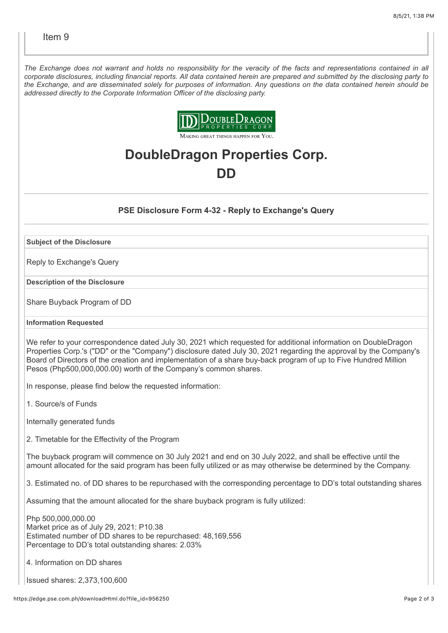*The Exchange does not warrant and holds no responsibility for the veracity of the facts and representations contained in all corporate disclosures, including financial reports. All data contained herein are prepared and submitted by the disclosing party to the Exchange, and are disseminated solely for purposes of information. Any questions on the data contained herein should be addressed directly to the Corporate Information Officer of the disclosing party.*



# **DoubleDragon Properties Corp. DD**

#### **PSE Disclosure Form 4-32 - Reply to Exchange's Query**

**Subject of the Disclosure**

Reply to Exchange's Query

**Description of the Disclosure**

Share Buyback Program of DD

#### **Information Requested**

We refer to your correspondence dated July 30, 2021 which requested for additional information on DoubleDragon Properties Corp.'s ("DD" or the "Company") disclosure dated July 30, 2021 regarding the approval by the Company's Board of Directors of the creation and implementation of a share buy-back program of up to Five Hundred Million Pesos (Php500,000,000.00) worth of the Company's common shares.

In response, please find below the requested information:

1. Source/s of Funds

Internally generated funds

2. Timetable for the Effectivity of the Program

The buyback program will commence on 30 July 2021 and end on 30 July 2022, and shall be effective until the amount allocated for the said program has been fully utilized or as may otherwise be determined by the Company.

3. Estimated no. of DD shares to be repurchased with the corresponding percentage to DD's total outstanding shares

Assuming that the amount allocated for the share buyback program is fully utilized:

Php 500,000,000.00 Market price as of July 29, 2021: P10.38 Estimated number of DD shares to be repurchased: 48,169,556 Percentage to DD's total outstanding shares: 2.03%

4. Information on DD shares

Issued shares: 2,373,100,600